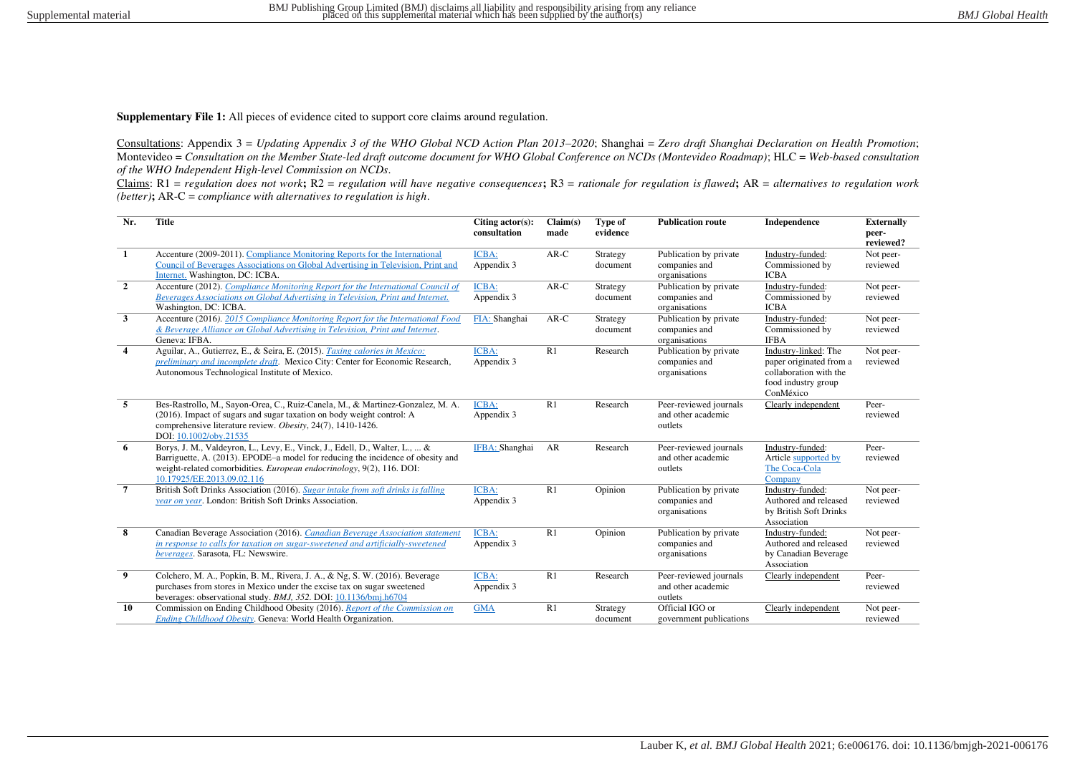**Supplementary File 1:** All pieces of evidence cited to support core claims around regulation.

Consultations: Appendix 3 = *Updating Appendix 3 of the WHO Global NCD Action Plan 2013–2020*; Shanghai = *Zero draft Shanghai Declaration on Health Promotion*; Montevideo = *Consultation on the Member State-led draft outcome document for WHO Global Conference on NCDs (Montevideo Roadmap)*; HLC = *Web-based consultation of the WHO Independent High-level Commission on NCDs*.

Claims: R1 = *regulation does not work***;** R2 = *regulation will have negative consequences***;** R3 = *rationale for regulation is flawed***;** AR = *alternatives to regulation work (better)***;** AR-C = *compliance with alternatives to regulation is high*.

| Nr.            | <b>Title</b>                                                                                        | Citing $actor(s)$ :<br>consultation | Claim(s)<br>made | Type of<br>evidence | <b>Publication route</b> | Independence             | <b>Externally</b><br>peer- |
|----------------|-----------------------------------------------------------------------------------------------------|-------------------------------------|------------------|---------------------|--------------------------|--------------------------|----------------------------|
|                |                                                                                                     |                                     |                  |                     |                          |                          | reviewed?                  |
| -1             | Accenture (2009-2011). Compliance Monitoring Reports for the International                          | ICBA:                               | $AR-C$           | Strategy            | Publication by private   | Industry-funded:         | Not peer-                  |
|                | Council of Beverages Associations on Global Advertising in Television, Print and                    | Appendix 3                          |                  | document            | companies and            | Commissioned by          | reviewed                   |
|                | Internet. Washington, DC: ICBA.                                                                     |                                     |                  |                     | organisations            | <b>ICBA</b>              |                            |
| $\overline{2}$ | Accenture (2012). Compliance Monitoring Report for the International Council of                     | <b>ICBA:</b>                        | $AR-C$           | Strategy            | Publication by private   | Industry-funded:         | Not peer-                  |
|                | Beverages Associations on Global Advertising in Television, Print and Internet.                     | Appendix 3                          |                  | document            | companies and            | Commissioned by          | reviewed                   |
|                | Washington, DC: ICBA.                                                                               |                                     |                  |                     | organisations            | <b>ICBA</b>              |                            |
| $\mathbf{3}$   | Accenture (2016). 2015 Compliance Monitoring Report for the International Food                      | FIA: Shanghai                       | $AR-C$           | Strategy            | Publication by private   | Industry-funded:         | Not peer-                  |
|                | & Beverage Alliance on Global Advertising in Television, Print and Internet.                        |                                     |                  | document            | companies and            | Commissioned by          | reviewed                   |
|                | Geneva: IFBA.                                                                                       |                                     |                  |                     | organisations            | <b>IFBA</b>              |                            |
| $\overline{4}$ | Aguilar, A., Gutierrez, E., & Seira, E. (2015). Taxing calories in Mexico:                          | <b>ICBA:</b>                        | R1               | Research            | Publication by private   | Industry-linked: The     | Not peer-                  |
|                | preliminary and incomplete draft. Mexico City: Center for Economic Research,                        | Appendix 3                          |                  |                     | companies and            | paper originated from a  | reviewed                   |
|                | Autonomous Technological Institute of Mexico.                                                       |                                     |                  |                     | organisations            | collaboration with the   |                            |
|                |                                                                                                     |                                     |                  |                     |                          | food industry group      |                            |
|                |                                                                                                     |                                     |                  |                     |                          | ConMéxico                |                            |
| 5              | Bes-Rastrollo, M., Sayon-Orea, C., Ruiz-Canela, M., & Martinez-Gonzalez, M. A.                      | <b>ICBA:</b>                        | R1               | Research            | Peer-reviewed journals   | Clearly independent      | Peer-                      |
|                | (2016). Impact of sugars and sugar taxation on body weight control: A                               | Appendix 3                          |                  |                     | and other academic       |                          | reviewed                   |
|                | comprehensive literature review. Obesity, 24(7), 1410-1426.                                         |                                     |                  |                     | outlets                  |                          |                            |
|                | DOI: 10.1002/obv.21535                                                                              |                                     |                  |                     |                          |                          |                            |
| 6              | Borys, J. M., Valdeyron, L., Levy, E., Vinck, J., Edell, D., Walter, L.,  &                         | IFBA: Shanghai                      | AR               | Research            | Peer-reviewed journals   | Industry-funded:         | Peer-                      |
|                | Barriguette, A. (2013). EPODE-a model for reducing the incidence of obesity and                     |                                     |                  |                     | and other academic       | Article supported by     | reviewed                   |
|                | weight-related comorbidities. European endocrinology, 9(2), 116. DOI:<br>10.17925/EE.2013.09.02.116 |                                     |                  |                     | outlets                  | The Coca-Cola<br>Company |                            |
| $\overline{7}$ | British Soft Drinks Association (2016). Sugar intake from soft drinks is falling                    | <b>ICBA:</b>                        | R1               |                     | Publication by private   | Industry-funded:         |                            |
|                | vear on year. London: British Soft Drinks Association.                                              | Appendix 3                          |                  | Opinion             | companies and            | Authored and released    | Not peer-<br>reviewed      |
|                |                                                                                                     |                                     |                  |                     | organisations            | by British Soft Drinks   |                            |
|                |                                                                                                     |                                     |                  |                     |                          | Association              |                            |
| 8              | Canadian Beverage Association (2016). Canadian Beverage Association statement                       | ICBA:                               | R1               | Opinion             | Publication by private   | Industry-funded:         | Not peer-                  |
|                | in response to calls for taxation on sugar-sweetened and artificially-sweetened                     | Appendix 3                          |                  |                     | companies and            | Authored and released    | reviewed                   |
|                | beverages. Sarasota, FL: Newswire.                                                                  |                                     |                  |                     | organisations            | by Canadian Beverage     |                            |
|                |                                                                                                     |                                     |                  |                     |                          | Association              |                            |
| 9              | Colchero, M. A., Popkin, B. M., Rivera, J. A., & Ng, S. W. (2016). Beverage                         | <b>ICBA:</b>                        | R1               | Research            | Peer-reviewed journals   | Clearly independent      | Peer-                      |
|                | purchases from stores in Mexico under the excise tax on sugar sweetened                             | Appendix 3                          |                  |                     | and other academic       |                          | reviewed                   |
|                | beverages: observational study. BMJ, 352. DOI: 10.1136/bmj.h6704                                    |                                     |                  |                     | outlets                  |                          |                            |
| 10             | Commission on Ending Childhood Obesity (2016). Report of the Commission on                          | <b>GMA</b>                          | R1               | Strategy            | Official IGO or          | Clearly independent      | Not peer-                  |
|                | Ending Childhood Obesity. Geneva: World Health Organization.                                        |                                     |                  | document            | government publications  |                          | reviewed                   |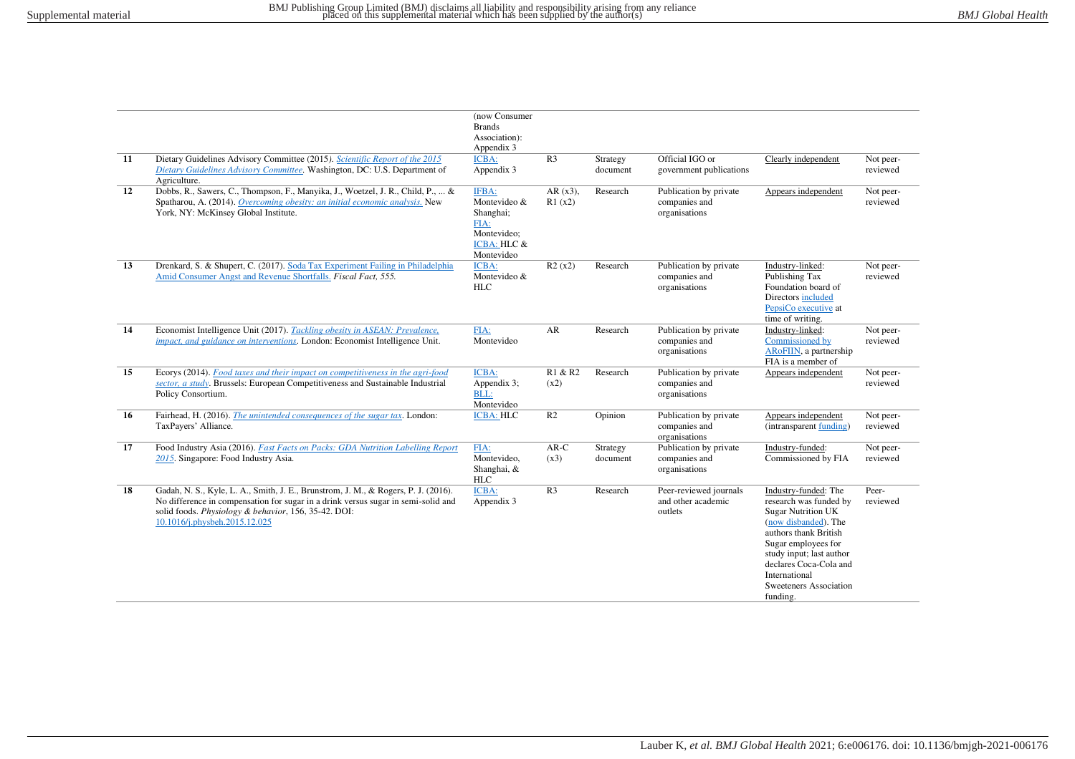|    |                                                                                                                                                                                                                                                                  | (now Consumer<br><b>Brands</b><br>Association):<br>Appendix 3                                     |                      |                      |                                                          |                                                                                                                                                                                                                                                                  |                       |
|----|------------------------------------------------------------------------------------------------------------------------------------------------------------------------------------------------------------------------------------------------------------------|---------------------------------------------------------------------------------------------------|----------------------|----------------------|----------------------------------------------------------|------------------------------------------------------------------------------------------------------------------------------------------------------------------------------------------------------------------------------------------------------------------|-----------------------|
| 11 | Dietary Guidelines Advisory Committee (2015). Scientific Report of the 2015<br>Dietary Guidelines Advisory Committee. Washington, DC: U.S. Department of<br>Agriculture.                                                                                         | ICBA:<br>Appendix 3                                                                               | R <sub>3</sub>       | Strategy<br>document | Official IGO or<br>government publications               | Clearly independent                                                                                                                                                                                                                                              | Not peer-<br>reviewed |
| 12 | Dobbs, R., Sawers, C., Thompson, F., Manyika, J., Woetzel, J. R., Child, P.,  &<br>Spatharou, A. (2014). Overcoming obesity: an initial economic analysis. New<br>York, NY: McKinsey Global Institute.                                                           | IFBA:<br>Montevideo &<br>Shanghai;<br>FIA:<br>Montevideo;<br><b>ICBA: HLC &amp;</b><br>Montevideo | $AR(x3)$ .<br>R1(x2) | Research             | Publication by private<br>companies and<br>organisations | Appears independent                                                                                                                                                                                                                                              | Not peer-<br>reviewed |
| 13 | Drenkard, S. & Shupert, C. (2017). Soda Tax Experiment Failing in Philadelphia<br>Amid Consumer Angst and Revenue Shortfalls. Fiscal Fact, 555.                                                                                                                  | ICBA:<br>Montevideo &<br><b>HLC</b>                                                               | R2(x2)               | Research             | Publication by private<br>companies and<br>organisations | Industry-linked:<br>Publishing Tax<br>Foundation board of<br>Directors included<br>PepsiCo executive at<br>time of writing.                                                                                                                                      | Not peer-<br>reviewed |
| 14 | Economist Intelligence Unit (2017). Tackling obesity in ASEAN: Prevalence,<br>impact, and guidance on interventions. London: Economist Intelligence Unit.                                                                                                        | FIA:<br>Montevideo                                                                                | AR                   | Research             | Publication by private<br>companies and<br>organisations | Industry-linked:<br>Commissioned by<br>ARoFIIN, a partnership<br>FIA is a member of                                                                                                                                                                              | Not peer-<br>reviewed |
| 15 | Ecorys (2014). Food taxes and their impact on competitiveness in the agri-food<br>sector, a study. Brussels: European Competitiveness and Sustainable Industrial<br>Policy Consortium.                                                                           | ICBA:<br>Appendix 3;<br>BLL:<br>Montevideo                                                        | R1 & R2<br>(x2)      | Research             | Publication by private<br>companies and<br>organisations | Appears independent                                                                                                                                                                                                                                              | Not peer-<br>reviewed |
| 16 | Fairhead, H. (2016). The unintended consequences of the sugar tax. London:<br>TaxPayers' Alliance.                                                                                                                                                               | <b>ICBA: HLC</b>                                                                                  | R <sub>2</sub>       | Opinion              | Publication by private<br>companies and<br>organisations | Appears independent<br>(intransparent funding)                                                                                                                                                                                                                   | Not peer-<br>reviewed |
| 17 | Food Industry Asia (2016). Fast Facts on Packs: GDA Nutrition Labelling Report<br>2015. Singapore: Food Industry Asia.                                                                                                                                           | FIA:<br>Montevideo,<br>Shanghai, &<br>HLC                                                         | $AR-C$<br>(x3)       | Strategy<br>document | Publication by private<br>companies and<br>organisations | Industry-funded:<br>Commissioned by FIA                                                                                                                                                                                                                          | Not peer-<br>reviewed |
| 18 | Gadah, N. S., Kyle, L. A., Smith, J. E., Brunstrom, J. M., & Rogers, P. J. (2016).<br>No difference in compensation for sugar in a drink versus sugar in semi-solid and<br>solid foods. Physiology & behavior, 156, 35-42. DOI:<br>10.1016/j.physbeh.2015.12.025 | ICBA:<br>Appendix 3                                                                               | R <sub>3</sub>       | Research             | Peer-reviewed journals<br>and other academic<br>outlets  | Industry-funded: The<br>research was funded by<br><b>Sugar Nutrition UK</b><br>(now disbanded). The<br>authors thank British<br>Sugar employees for<br>study input; last author<br>declares Coca-Cola and<br>International<br>Sweeteners Association<br>funding. | Peer-<br>reviewed     |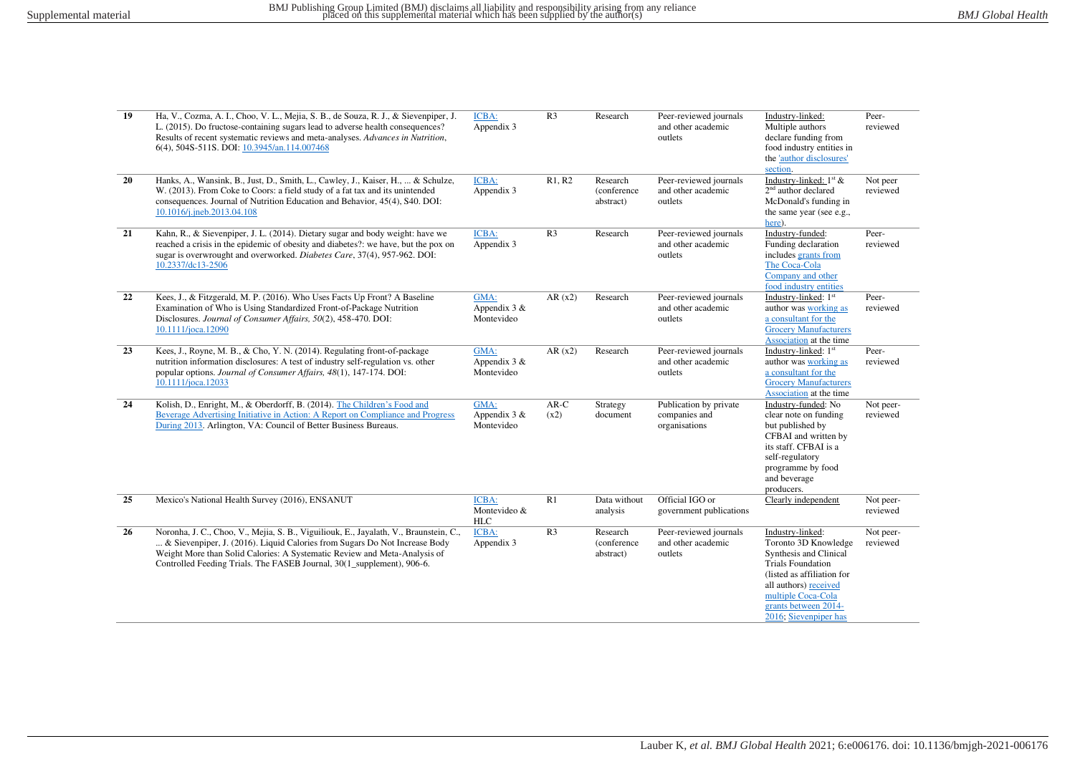| 19 | Ha, V., Cozma, A. I., Choo, V. L., Mejia, S. B., de Souza, R. J., & Sievenpiper, J.<br>L. (2015). Do fructose-containing sugars lead to adverse health consequences?<br>Results of recent systematic reviews and meta-analyses. Advances in Nutrition,<br>6(4), 504S-511S. DOI: 10.3945/an.114.007468                      | ICBA:<br>Appendix 3                  | R <sub>3</sub> | Research                             | Peer-reviewed journals<br>and other academic<br>outlets  | Industry-linked:<br>Multiple authors<br>declare funding from<br>food industry entities in<br>the 'author disclosures'<br>section.                                                                                            | Peer-<br>reviewed     |
|----|----------------------------------------------------------------------------------------------------------------------------------------------------------------------------------------------------------------------------------------------------------------------------------------------------------------------------|--------------------------------------|----------------|--------------------------------------|----------------------------------------------------------|------------------------------------------------------------------------------------------------------------------------------------------------------------------------------------------------------------------------------|-----------------------|
| 20 | Hanks, A., Wansink, B., Just, D., Smith, L., Cawley, J., Kaiser, H.,  & Schulze,<br>W. (2013). From Coke to Coors: a field study of a fat tax and its unintended<br>consequences. Journal of Nutrition Education and Behavior, 45(4), S40. DOI:<br>10.1016/j.jneb.2013.04.108                                              | ICBA:<br>Appendix 3                  | R1, R2         | Research<br>(conference<br>abstract) | Peer-reviewed journals<br>and other academic<br>outlets  | Industry-linked: $1st$ &<br>$2nd$ author declared<br>McDonald's funding in<br>the same year (see e.g.,<br>here).                                                                                                             | Not peer<br>reviewed  |
| 21 | Kahn, R., & Sievenpiper, J. L. (2014). Dietary sugar and body weight: have we<br>reached a crisis in the epidemic of obesity and diabetes?: we have, but the pox on<br>sugar is overwrought and overworked. Diabetes Care, 37(4), 957-962. DOI:<br>10.2337/dc13-2506                                                       | ICBA:<br>Appendix 3                  | R <sub>3</sub> | Research                             | Peer-reviewed journals<br>and other academic<br>outlets  | Industry-funded:<br>Funding declaration<br>includes grants from<br>The Coca-Cola<br>Company and other<br>food industry entities                                                                                              | Peer-<br>reviewed     |
| 22 | Kees, J., & Fitzgerald, M. P. (2016). Who Uses Facts Up Front? A Baseline<br>Examination of Who is Using Standardized Front-of-Package Nutrition<br>Disclosures. Journal of Consumer Affairs, 50(2), 458-470. DOI:<br>10.1111/joca.12090                                                                                   | GMA:<br>Appendix $3 &$<br>Montevideo | AR(x2)         | Research                             | Peer-reviewed journals<br>and other academic<br>outlets  | Industry-linked: 1st<br>author was working as<br>a consultant for the<br><b>Grocery Manufacturers</b><br>Association at the time                                                                                             | Peer-<br>reviewed     |
| 23 | Kees, J., Royne, M. B., & Cho, Y. N. (2014). Regulating front-of-package<br>nutrition information disclosures: A test of industry self-regulation vs. other<br>popular options. Journal of Consumer Affairs, 48(1), 147-174. DOI:<br>10.1111/joca.12033                                                                    | GMA:<br>Appendix $3 &$<br>Montevideo | AR(x2)         | Research                             | Peer-reviewed journals<br>and other academic<br>outlets  | Industry-linked: 1st<br>author was working as<br>a consultant for the<br><b>Grocery Manufacturers</b><br>Association at the time                                                                                             | Peer-<br>reviewed     |
| 24 | Kolish, D., Enright, M., & Oberdorff, B. (2014). The Children's Food and<br>Beverage Advertising Initiative in Action: A Report on Compliance and Progress<br>During 2013. Arlington, VA: Council of Better Business Bureaus.                                                                                              | GMA:<br>Appendix $3 &$<br>Montevideo | $AR-C$<br>(x2) | Strategy<br>document                 | Publication by private<br>companies and<br>organisations | Industry-funded: No<br>clear note on funding<br>but published by<br>CFBAI and written by<br>its staff. CFBAI is a<br>self-regulatory<br>programme by food<br>and beverage<br>producers.                                      | Not peer-<br>reviewed |
| 25 | Mexico's National Health Survey (2016), ENSANUT                                                                                                                                                                                                                                                                            | ICBA:<br>Montevideo &<br><b>HLC</b>  | R1             | Data without<br>analysis             | Official IGO or<br>government publications               | Clearly independent                                                                                                                                                                                                          | Not peer-<br>reviewed |
| 26 | Noronha, J. C., Choo, V., Mejia, S. B., Viguiliouk, E., Jayalath, V., Braunstein, C.,<br>& Sievenpiper, J. (2016). Liquid Calories from Sugars Do Not Increase Body<br>Weight More than Solid Calories: A Systematic Review and Meta-Analysis of<br>Controlled Feeding Trials. The FASEB Journal, 30(1_supplement), 906-6. | ICBA:<br>Appendix 3                  | R <sub>3</sub> | Research<br>(conference<br>abstract) | Peer-reviewed journals<br>and other academic<br>outlets  | Industry-linked:<br>Toronto 3D Knowledge<br>Synthesis and Clinical<br><b>Trials Foundation</b><br>(listed as affiliation for<br>all authors) received<br>multiple Coca-Cola<br>grants between 2014-<br>2016; Sievenpiper has | Not peer-<br>reviewed |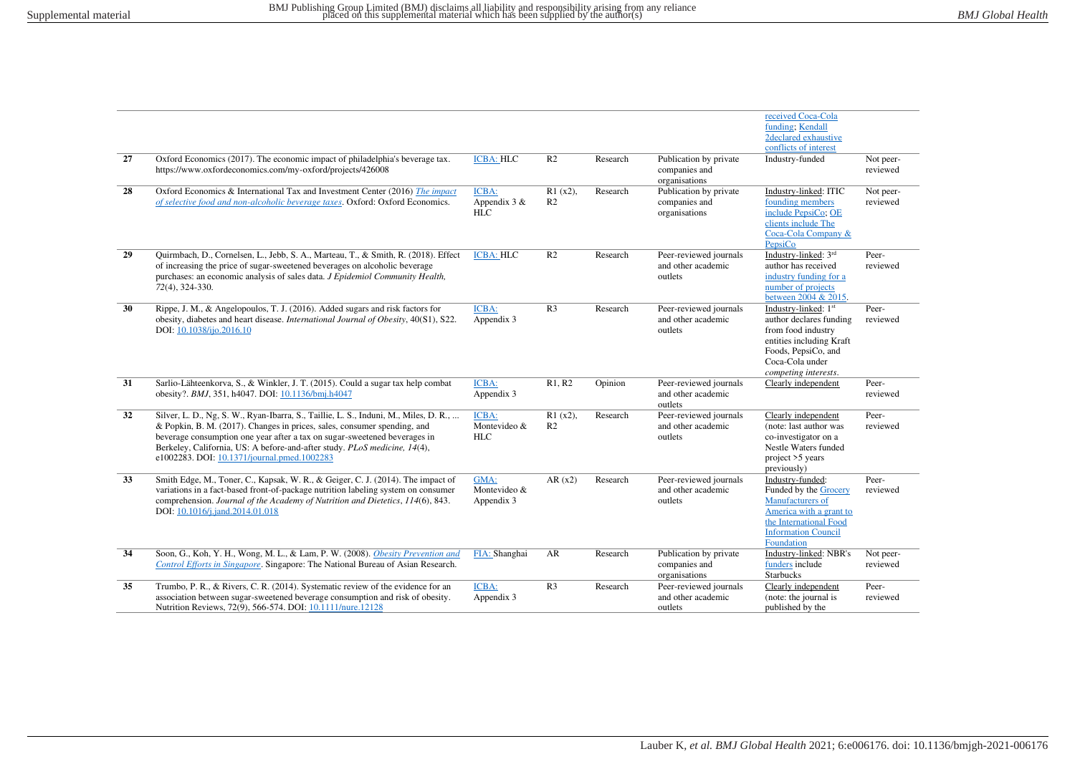|    |                                                                                                                                                                                                                                                                                                                                                                           |                                       |                              |          |                                                          | received Coca-Cola<br>funding: Kendall<br>2declared exhaustive<br>conflicts of interest                                                                             |                       |
|----|---------------------------------------------------------------------------------------------------------------------------------------------------------------------------------------------------------------------------------------------------------------------------------------------------------------------------------------------------------------------------|---------------------------------------|------------------------------|----------|----------------------------------------------------------|---------------------------------------------------------------------------------------------------------------------------------------------------------------------|-----------------------|
| 27 | Oxford Economics (2017). The economic impact of philadelphia's beverage tax.<br>https://www.oxfordeconomics.com/my-oxford/projects/426008                                                                                                                                                                                                                                 | <b>ICBA: HLC</b>                      | R <sub>2</sub>               | Research | Publication by private<br>companies and<br>organisations | Industry-funded                                                                                                                                                     | Not peer-<br>reviewed |
| 28 | Oxford Economics & International Tax and Investment Center (2016) The impact<br>of selective food and non-alcoholic beverage taxes. Oxford: Oxford Economics.                                                                                                                                                                                                             | ICBA:<br>Appendix $3 &$<br><b>HLC</b> | $R1(x2)$ ,<br>R <sub>2</sub> | Research | Publication by private<br>companies and<br>organisations | Industry-linked: ITIC<br>founding members<br>include PepsiCo; OE<br>clients include The<br>Coca-Cola Company &<br>PepsiCo                                           | Not peer-<br>reviewed |
| 29 | Quirmbach, D., Cornelsen, L., Jebb, S. A., Marteau, T., & Smith, R. (2018). Effect<br>of increasing the price of sugar-sweetened beverages on alcoholic beverage<br>purchases: an economic analysis of sales data. <i>J Epidemiol Community Health</i> ,<br>72(4), 324-330.                                                                                               | <b>ICBA: HLC</b>                      | R <sub>2</sub>               | Research | Peer-reviewed journals<br>and other academic<br>outlets  | Industry-linked: 3rd<br>author has received<br>industry funding for a<br>number of projects<br>between 2004 & 2015.                                                 | Peer-<br>reviewed     |
| 30 | Rippe, J. M., & Angelopoulos, T. J. (2016). Added sugars and risk factors for<br>obesity, diabetes and heart disease. International Journal of Obesity, 40(S1), S22.<br>DOI: 10.1038/ijo.2016.10                                                                                                                                                                          | ICBA:<br>Appendix 3                   | R <sub>3</sub>               | Research | Peer-reviewed journals<br>and other academic<br>outlets  | Industry-linked: 1st<br>author declares funding<br>from food industry<br>entities including Kraft<br>Foods, PepsiCo, and<br>Coca-Cola under<br>competing interests. | Peer-<br>reviewed     |
| 31 | Sarlio-Lähteenkorva, S., & Winkler, J. T. (2015). Could a sugar tax help combat<br>obesity?. BMJ, 351, h4047. DOI: 10.1136/bmj.h4047                                                                                                                                                                                                                                      | ICBA:<br>Appendix 3                   | R1, R2                       | Opinion  | Peer-reviewed journals<br>and other academic<br>outlets  | Clearly independent                                                                                                                                                 | Peer-<br>reviewed     |
| 32 | Silver, L. D., Ng, S. W., Ryan-Ibarra, S., Taillie, L. S., Induni, M., Miles, D. R.,<br>& Popkin, B. M. (2017). Changes in prices, sales, consumer spending, and<br>beverage consumption one year after a tax on sugar-sweetened beverages in<br>Berkeley, California, US: A before-and-after study. PLoS medicine, 14(4),<br>e1002283. DOI: 10.1371/journal.pmed.1002283 | ICBA:<br>Montevideo &<br><b>HLC</b>   | $R1(x2)$ ,<br>R <sub>2</sub> | Research | Peer-reviewed journals<br>and other academic<br>outlets  | Clearly independent<br>(note: last author was<br>co-investigator on a<br>Nestle Waters funded<br>project >5 years<br>previously)                                    | Peer-<br>reviewed     |
| 33 | Smith Edge, M., Toner, C., Kapsak, W. R., & Geiger, C. J. (2014). The impact of<br>variations in a fact-based front-of-package nutrition labeling system on consumer<br>comprehension. Journal of the Academy of Nutrition and Dietetics, 114(6), 843.<br>DOI: 10.1016/j.jand.2014.01.018                                                                                 | GMA:<br>Montevideo &<br>Appendix 3    | AR(x2)                       | Research | Peer-reviewed journals<br>and other academic<br>outlets  | Industry-funded:<br>Funded by the Grocery<br>Manufacturers of<br>America with a grant to<br>the International Food<br><b>Information Council</b><br>Foundation      | Peer-<br>reviewed     |
| 34 | Soon, G., Koh, Y. H., Wong, M. L., & Lam, P. W. (2008). Obesity Prevention and<br><b>Control Efforts in Singapore.</b> Singapore: The National Bureau of Asian Research.                                                                                                                                                                                                  | FIA: Shanghai                         | AR                           | Research | Publication by private<br>companies and<br>organisations | Industry-linked: NBR's<br>funders include<br><b>Starbucks</b>                                                                                                       | Not peer-<br>reviewed |
| 35 | Trumbo, P. R., & Rivers, C. R. (2014). Systematic review of the evidence for an<br>association between sugar-sweetened beverage consumption and risk of obesity.<br>Nutrition Reviews, 72(9), 566-574. DOI: 10.1111/nure.12128                                                                                                                                            | ICBA:<br>Appendix 3                   | R <sub>3</sub>               | Research | Peer-reviewed journals<br>and other academic<br>outlets  | Clearly independent<br>(note: the journal is<br>published by the                                                                                                    | Peer-<br>reviewed     |